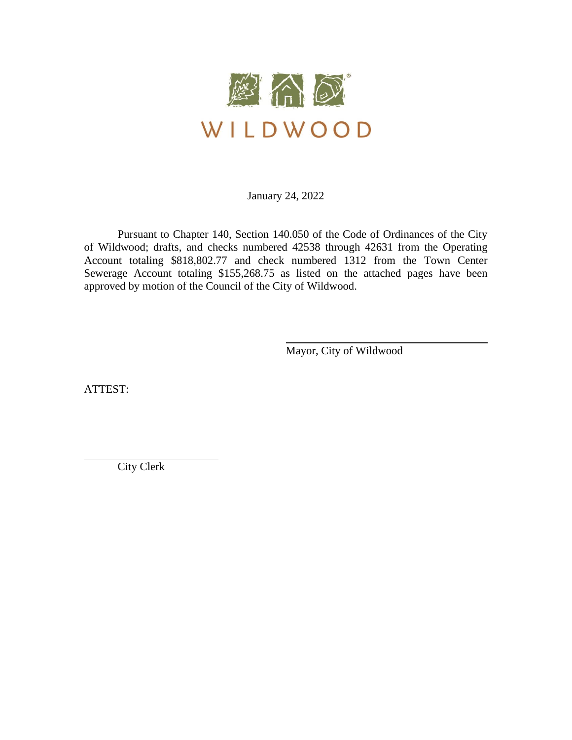

January 24, 2022

Pursuant to Chapter 140, Section 140.050 of the Code of Ordinances of the City of Wildwood; drafts, and checks numbered 42538 through 42631 from the Operating Account totaling \$818,802.77 and check numbered 1312 from the Town Center Sewerage Account totaling \$155,268.75 as listed on the attached pages have been approved by motion of the Council of the City of Wildwood.

Mayor, City of Wildwood

ATTEST:

City Clerk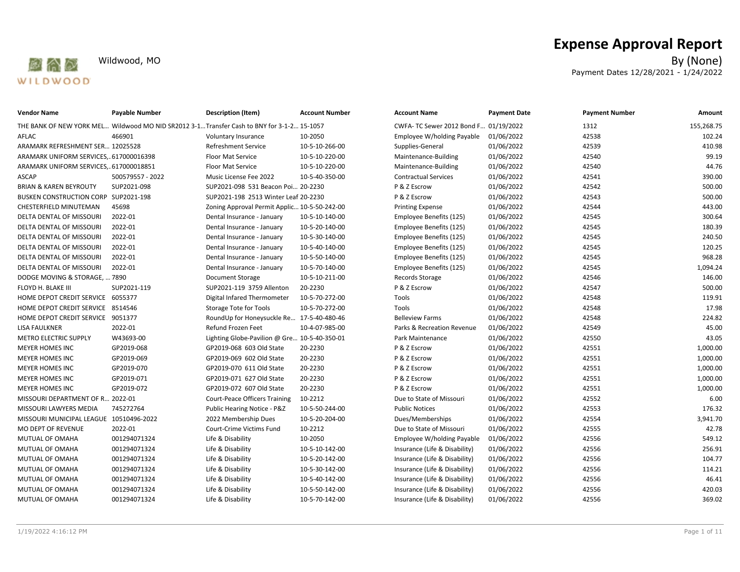

| <b>Vendor Name</b>                      | <b>Payable Number</b> | <b>Description (Item)</b>                                                                 | <b>Account Number</b> | <b>Account Name</b>                   | <b>Payment Date</b> | <b>Payment Number</b> | Amount     |
|-----------------------------------------|-----------------------|-------------------------------------------------------------------------------------------|-----------------------|---------------------------------------|---------------------|-----------------------|------------|
|                                         |                       | THE BANK OF NEW YORK MEL Wildwood MO NID SR2012 3-1Transfer Cash to BNY for 3-1-2 15-1057 |                       | CWFA- TC Sewer 2012 Bond F 01/19/2022 |                     | 1312                  | 155,268.75 |
| AFLAC                                   | 466901                | Voluntary Insurance                                                                       | 10-2050               | Employee W/holding Payable            | 01/06/2022          | 42538                 | 102.24     |
| ARAMARK REFRESHMENT SER 12025528        |                       | <b>Refreshment Service</b>                                                                | 10-5-10-266-00        | Supplies-General                      | 01/06/2022          | 42539                 | 410.98     |
| ARAMARK UNIFORM SERVICES,617000016398   |                       | <b>Floor Mat Service</b>                                                                  | 10-5-10-220-00        | Maintenance-Building                  | 01/06/2022          | 42540                 | 99.19      |
| ARAMARK UNIFORM SERVICES,617000018851   |                       | <b>Floor Mat Service</b>                                                                  | 10-5-10-220-00        | Maintenance-Building                  | 01/06/2022          | 42540                 | 44.76      |
| ASCAP                                   | 500579557 - 2022      | Music License Fee 2022                                                                    | 10-5-40-350-00        | <b>Contractual Services</b>           | 01/06/2022          | 42541                 | 390.00     |
| <b>BRIAN &amp; KAREN BEYROUTY</b>       | SUP2021-098           | SUP2021-098 531 Beacon Poi 20-2230                                                        |                       | P & Z Escrow                          | 01/06/2022          | 42542                 | 500.00     |
| BUSKEN CONSTRUCTION CORP SUP2021-198    |                       | SUP2021-198 2513 Winter Leaf 20-2230                                                      |                       | P & Z Escrow                          | 01/06/2022          | 42543                 | 500.00     |
| CHESTERFIELD MINUTEMAN                  | 45698                 | Zoning Approval Permit Applic 10-5-50-242-00                                              |                       | <b>Printing Expense</b>               | 01/06/2022          | 42544                 | 443.00     |
| DELTA DENTAL OF MISSOURI                | 2022-01               | Dental Insurance - January                                                                | 10-5-10-140-00        | Employee Benefits (125)               | 01/06/2022          | 42545                 | 300.64     |
| DELTA DENTAL OF MISSOURI                | 2022-01               | Dental Insurance - January                                                                | 10-5-20-140-00        | Employee Benefits (125)               | 01/06/2022          | 42545                 | 180.39     |
| DELTA DENTAL OF MISSOURI                | 2022-01               | Dental Insurance - January                                                                | 10-5-30-140-00        | Employee Benefits (125)               | 01/06/2022          | 42545                 | 240.50     |
| DELTA DENTAL OF MISSOURI                | 2022-01               | Dental Insurance - January                                                                | 10-5-40-140-00        | Employee Benefits (125)               | 01/06/2022          | 42545                 | 120.25     |
| DELTA DENTAL OF MISSOURI                | 2022-01               | Dental Insurance - January                                                                | 10-5-50-140-00        | Employee Benefits (125)               | 01/06/2022          | 42545                 | 968.28     |
| DELTA DENTAL OF MISSOURI                | 2022-01               | Dental Insurance - January                                                                | 10-5-70-140-00        | Employee Benefits (125)               | 01/06/2022          | 42545                 | 1,094.24   |
| DODGE MOVING & STORAGE,  7890           |                       | Document Storage                                                                          | 10-5-10-211-00        | Records Storage                       | 01/06/2022          | 42546                 | 146.00     |
| FLOYD H. BLAKE III                      | SUP2021-119           | SUP2021-119 3759 Allenton                                                                 | 20-2230               | P & Z Escrow                          | 01/06/2022          | 42547                 | 500.00     |
| HOME DEPOT CREDIT SERVICE 6055377       |                       | Digital Infared Thermometer                                                               | 10-5-70-272-00        | Tools                                 | 01/06/2022          | 42548                 | 119.91     |
| HOME DEPOT CREDIT SERVICE 8514546       |                       | Storage Tote for Tools                                                                    | 10-5-70-272-00        | Tools                                 | 01/06/2022          | 42548                 | 17.98      |
| HOME DEPOT CREDIT SERVICE 9051377       |                       | RoundUp for Honeysuckle Re 17-5-40-480-46                                                 |                       | <b>Belleview Farms</b>                | 01/06/2022          | 42548                 | 224.82     |
| LISA FAULKNER                           | 2022-01               | Refund Frozen Feet                                                                        | 10-4-07-985-00        | Parks & Recreation Revenue            | 01/06/2022          | 42549                 | 45.00      |
| METRO ELECTRIC SUPPLY                   | W43693-00             | Lighting Globe-Pavilion @ Gre 10-5-40-350-01                                              |                       | Park Maintenance                      | 01/06/2022          | 42550                 | 43.05      |
| <b>MEYER HOMES INC</b>                  | GP2019-068            | GP2019-068 603 Old State                                                                  | 20-2230               | P & Z Escrow                          | 01/06/2022          | 42551                 | 1,000.00   |
| MEYER HOMES INC                         | GP2019-069            | GP2019-069 602 Old State                                                                  | 20-2230               | P & Z Escrow                          | 01/06/2022          | 42551                 | 1,000.00   |
| <b>MEYER HOMES INC</b>                  | GP2019-070            | GP2019-070 611 Old State                                                                  | 20-2230               | P & Z Escrow                          | 01/06/2022          | 42551                 | 1,000.00   |
| MEYER HOMES INC                         | GP2019-071            | GP2019-071 627 Old State                                                                  | 20-2230               | P & Z Escrow                          | 01/06/2022          | 42551                 | 1,000.00   |
| MEYER HOMES INC                         | GP2019-072            | GP2019-072 607 Old State                                                                  | 20-2230               | P & Z Escrow                          | 01/06/2022          | 42551                 | 1,000.00   |
| MISSOURI DEPARTMENT OF R 2022-01        |                       | <b>Court-Peace Officers Training</b>                                                      | 10-2212               | Due to State of Missouri              | 01/06/2022          | 42552                 | 6.00       |
| MISSOURI LAWYERS MEDIA                  | 745272764             | Public Hearing Notice - P&Z                                                               | 10-5-50-244-00        | <b>Public Notices</b>                 | 01/06/2022          | 42553                 | 176.32     |
| MISSOURI MUNICIPAL LEAGUE 10510496-2022 |                       | 2022 Membership Dues                                                                      | 10-5-20-204-00        | Dues/Memberships                      | 01/06/2022          | 42554                 | 3,941.70   |
| MO DEPT OF REVENUE                      | 2022-01               | Court-Crime Victims Fund                                                                  | 10-2212               | Due to State of Missouri              | 01/06/2022          | 42555                 | 42.78      |
| MUTUAL OF OMAHA                         | 001294071324          | Life & Disability                                                                         | 10-2050               | Employee W/holding Payable            | 01/06/2022          | 42556                 | 549.12     |
| MUTUAL OF OMAHA                         | 001294071324          | Life & Disability                                                                         | 10-5-10-142-00        | Insurance (Life & Disability)         | 01/06/2022          | 42556                 | 256.91     |
| MUTUAL OF OMAHA                         | 001294071324          | Life & Disability                                                                         | 10-5-20-142-00        | Insurance (Life & Disability)         | 01/06/2022          | 42556                 | 104.77     |
| MUTUAL OF OMAHA                         | 001294071324          | Life & Disability                                                                         | 10-5-30-142-00        | Insurance (Life & Disability)         | 01/06/2022          | 42556                 | 114.21     |
| MUTUAL OF OMAHA                         | 001294071324          | Life & Disability                                                                         | 10-5-40-142-00        | Insurance (Life & Disability)         | 01/06/2022          | 42556                 | 46.41      |
| MUTUAL OF OMAHA                         | 001294071324          | Life & Disability                                                                         | 10-5-50-142-00        | Insurance (Life & Disability)         | 01/06/2022          | 42556                 | 420.03     |
| MUTUAL OF OMAHA                         | 001294071324          | Life & Disability                                                                         | 10-5-70-142-00        | Insurance (Life & Disability)         | 01/06/2022          | 42556                 | 369.02     |
|                                         |                       |                                                                                           |                       |                                       |                     |                       |            |

# **Expense Approval Report**<br>By (None)

Wildwood, MO By (None) Payment Dates 12/28/2021 - 1/24/2022

| <b>Account Name</b>                   | <b>Payment Date</b> | <b>Payment Number</b> | Amount     |
|---------------------------------------|---------------------|-----------------------|------------|
| CWFA- TC Sewer 2012 Bond F 01/19/2022 |                     | 1312                  | 155,268.75 |
| Employee W/holding Payable            | 01/06/2022          | 42538                 | 102.24     |
| Supplies-General                      | 01/06/2022          | 42539                 | 410.98     |
| Maintenance-Building                  | 01/06/2022          | 42540                 | 99.19      |
| Maintenance-Building                  | 01/06/2022          | 42540                 | 44.76      |
| <b>Contractual Services</b>           | 01/06/2022          | 42541                 | 390.00     |
| P & Z Escrow                          | 01/06/2022          | 42542                 | 500.00     |
| P & Z Escrow                          | 01/06/2022          | 42543                 | 500.00     |
| <b>Printing Expense</b>               | 01/06/2022          | 42544                 | 443.00     |
| Employee Benefits (125)               | 01/06/2022          | 42545                 | 300.64     |
| Employee Benefits (125)               | 01/06/2022          | 42545                 | 180.39     |
| Employee Benefits (125)               | 01/06/2022          | 42545                 | 240.50     |
| Employee Benefits (125)               | 01/06/2022          | 42545                 | 120.25     |
| Employee Benefits (125)               | 01/06/2022          | 42545                 | 968.28     |
| Employee Benefits (125)               | 01/06/2022          | 42545                 | 1,094.24   |
| <b>Records Storage</b>                | 01/06/2022          | 42546                 | 146.00     |
| P & Z Escrow                          | 01/06/2022          | 42547                 | 500.00     |
| Tools                                 | 01/06/2022          | 42548                 | 119.91     |
| Tools                                 | 01/06/2022          | 42548                 | 17.98      |
| <b>Belleview Farms</b>                | 01/06/2022          | 42548                 | 224.82     |
| Parks & Recreation Revenue            | 01/06/2022          | 42549                 | 45.00      |
| Park Maintenance                      | 01/06/2022          | 42550                 | 43.05      |
| P & Z Escrow                          | 01/06/2022          | 42551                 | 1,000.00   |
| P & Z Escrow                          | 01/06/2022          | 42551                 | 1,000.00   |
| P & Z Escrow                          | 01/06/2022          | 42551                 | 1,000.00   |
| P & Z Escrow                          | 01/06/2022          | 42551                 | 1,000.00   |
| P & Z Escrow                          | 01/06/2022          | 42551                 | 1,000.00   |
| Due to State of Missouri              | 01/06/2022          | 42552                 | 6.00       |
| <b>Public Notices</b>                 | 01/06/2022          | 42553                 | 176.32     |
| Dues/Memberships                      | 01/06/2022          | 42554                 | 3,941.70   |
| Due to State of Missouri              | 01/06/2022          | 42555                 | 42.78      |
| Employee W/holding Payable            | 01/06/2022          | 42556                 | 549.12     |
| Insurance (Life & Disability)         | 01/06/2022          | 42556                 | 256.91     |
| Insurance (Life & Disability)         | 01/06/2022          | 42556                 | 104.77     |
| Insurance (Life & Disability)         | 01/06/2022          | 42556                 | 114.21     |
| Insurance (Life & Disability)         | 01/06/2022          | 42556                 | 46.41      |
| Insurance (Life & Disability)         | 01/06/2022          | 42556                 | 420.03     |
| Insurance (Life & Disability)         | 01/06/2022          | 42556                 | 369.02     |
|                                       |                     |                       |            |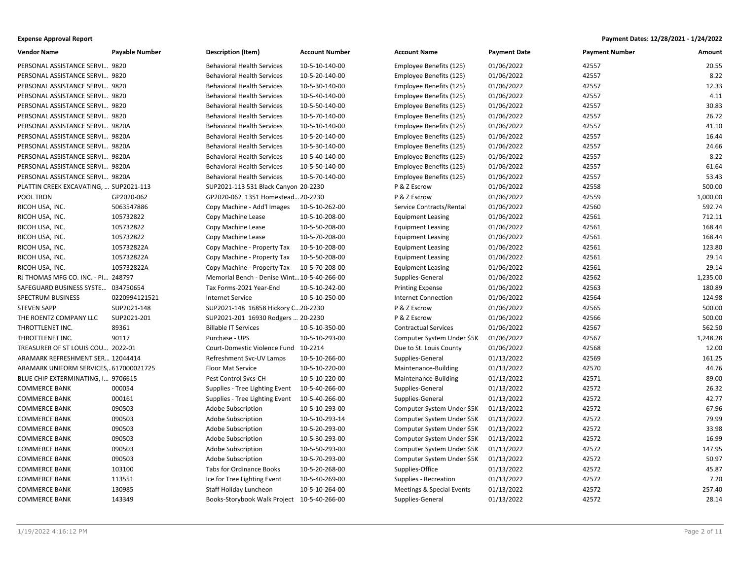| <b>Vendor Name</b>                     | <b>Payable Number</b> | <b>Description (Item)</b>                   | <b>Account Number</b> | <b>Account Name</b>         | <b>Payment Date</b> | <b>Payment Number</b> | Amount   |
|----------------------------------------|-----------------------|---------------------------------------------|-----------------------|-----------------------------|---------------------|-----------------------|----------|
| PERSONAL ASSISTANCE SERVI 9820         |                       | <b>Behavioral Health Services</b>           | 10-5-10-140-00        | Employee Benefits (125)     | 01/06/2022          | 42557                 | 20.55    |
| PERSONAL ASSISTANCE SERVI 9820         |                       | <b>Behavioral Health Services</b>           | 10-5-20-140-00        | Employee Benefits (125)     | 01/06/2022          | 42557                 | 8.22     |
| PERSONAL ASSISTANCE SERVI 9820         |                       | <b>Behavioral Health Services</b>           | 10-5-30-140-00        | Employee Benefits (125)     | 01/06/2022          | 42557                 | 12.33    |
| PERSONAL ASSISTANCE SERVI 9820         |                       | <b>Behavioral Health Services</b>           | 10-5-40-140-00        | Employee Benefits (125)     | 01/06/2022          | 42557                 | 4.11     |
| PERSONAL ASSISTANCE SERVI 9820         |                       | <b>Behavioral Health Services</b>           | 10-5-50-140-00        | Employee Benefits (125)     | 01/06/2022          | 42557                 | 30.83    |
| PERSONAL ASSISTANCE SERVI 9820         |                       | <b>Behavioral Health Services</b>           | 10-5-70-140-00        | Employee Benefits (125)     | 01/06/2022          | 42557                 | 26.72    |
| PERSONAL ASSISTANCE SERVI 9820A        |                       | <b>Behavioral Health Services</b>           | 10-5-10-140-00        | Employee Benefits (125)     | 01/06/2022          | 42557                 | 41.10    |
| PERSONAL ASSISTANCE SERVI 9820A        |                       | <b>Behavioral Health Services</b>           | 10-5-20-140-00        | Employee Benefits (125)     | 01/06/2022          | 42557                 | 16.44    |
| PERSONAL ASSISTANCE SERVI 9820A        |                       | <b>Behavioral Health Services</b>           | 10-5-30-140-00        | Employee Benefits (125)     | 01/06/2022          | 42557                 | 24.66    |
| PERSONAL ASSISTANCE SERVI 9820A        |                       | <b>Behavioral Health Services</b>           | 10-5-40-140-00        | Employee Benefits (125)     | 01/06/2022          | 42557                 | 8.22     |
| PERSONAL ASSISTANCE SERVI 9820A        |                       | <b>Behavioral Health Services</b>           | 10-5-50-140-00        | Employee Benefits (125)     | 01/06/2022          | 42557                 | 61.64    |
| PERSONAL ASSISTANCE SERVI 9820A        |                       | <b>Behavioral Health Services</b>           | 10-5-70-140-00        | Employee Benefits (125)     | 01/06/2022          | 42557                 | 53.43    |
| PLATTIN CREEK EXCAVATING,  SUP2021-113 |                       | SUP2021-113 531 Black Canyon 20-2230        |                       | P & Z Escrow                | 01/06/2022          | 42558                 | 500.00   |
| POOL TRON                              | GP2020-062            | GP2020-062 1351 Homestead 20-2230           |                       | P & Z Escrow                | 01/06/2022          | 42559                 | 1,000.00 |
| RICOH USA, INC.                        | 5063547886            | Copy Machine - Add'l Images                 | 10-5-10-262-00        | Service Contracts/Rental    | 01/06/2022          | 42560                 | 592.74   |
| RICOH USA, INC.                        | 105732822             | Copy Machine Lease                          | 10-5-10-208-00        | <b>Equipment Leasing</b>    | 01/06/2022          | 42561                 | 712.11   |
| RICOH USA, INC.                        | 105732822             | Copy Machine Lease                          | 10-5-50-208-00        | <b>Equipment Leasing</b>    | 01/06/2022          | 42561                 | 168.44   |
| RICOH USA, INC.                        | 105732822             | Copy Machine Lease                          | 10-5-70-208-00        | <b>Equipment Leasing</b>    | 01/06/2022          | 42561                 | 168.44   |
| RICOH USA, INC.                        | 105732822A            | Copy Machine - Property Tax                 | 10-5-10-208-00        | <b>Equipment Leasing</b>    | 01/06/2022          | 42561                 | 123.80   |
| RICOH USA, INC.                        | 105732822A            | Copy Machine - Property Tax                 | 10-5-50-208-00        | <b>Equipment Leasing</b>    | 01/06/2022          | 42561                 | 29.14    |
| RICOH USA, INC.                        | 105732822A            | Copy Machine - Property Tax                 | 10-5-70-208-00        | <b>Equipment Leasing</b>    | 01/06/2022          | 42561                 | 29.14    |
| RJ THOMAS MFG CO. INC. - PI 248797     |                       | Memorial Bench - Denise Wint 10-5-40-266-00 |                       | Supplies-General            | 01/06/2022          | 42562                 | 1,235.00 |
| SAFEGUARD BUSINESS SYSTE 034750654     |                       | Tax Forms-2021 Year-End                     | 10-5-10-242-00        | <b>Printing Expense</b>     | 01/06/2022          | 42563                 | 180.89   |
| <b>SPECTRUM BUSINESS</b>               | 0220994121521         | <b>Internet Service</b>                     | 10-5-10-250-00        | <b>Internet Connection</b>  | 01/06/2022          | 42564                 | 124.98   |
| <b>STEVEN SAPP</b>                     | SUP2021-148           | SUP2021-148 16858 Hickory C20-2230          |                       | P & Z Escrow                | 01/06/2022          | 42565                 | 500.00   |
| THE ROENTZ COMPANY LLC                 | SUP2021-201           | SUP2021-201 16930 Rodgers  20-2230          |                       | P & Z Escrow                | 01/06/2022          | 42566                 | 500.00   |
| THROTTLENET INC.                       | 89361                 | <b>Billable IT Services</b>                 | 10-5-10-350-00        | <b>Contractual Services</b> | 01/06/2022          | 42567                 | 562.50   |
| THROTTLENET INC.                       | 90117                 | Purchase - UPS                              | 10-5-10-293-00        | Computer System Under \$5K  | 01/06/2022          | 42567                 | 1,248.28 |
| TREASURER OF ST LOUIS COU 2022-01      |                       | Court-Domestic Violence Fund                | 10-2214               | Due to St. Louis County     | 01/06/2022          | 42568                 | 12.00    |
| ARAMARK REFRESHMENT SER 12044414       |                       | Refreshment Svc-UV Lamps                    | 10-5-10-266-00        | Supplies-General            | 01/13/2022          | 42569                 | 161.25   |
| ARAMARK UNIFORM SERVICES,617000021725  |                       | Floor Mat Service                           | 10-5-10-220-00        | Maintenance-Building        | 01/13/2022          | 42570                 | 44.76    |
| BLUE CHIP EXTERMINATING, I 9706615     |                       | Pest Control Svcs-CH                        | 10-5-10-220-00        | Maintenance-Building        | 01/13/2022          | 42571                 | 89.00    |
| <b>COMMERCE BANK</b>                   | 000054                | Supplies - Tree Lighting Event              | 10-5-40-266-00        | Supplies-General            | 01/13/2022          | 42572                 | 26.32    |
| <b>COMMERCE BANK</b>                   | 000161                | Supplies - Tree Lighting Event              | 10-5-40-266-00        | Supplies-General            | 01/13/2022          | 42572                 | 42.77    |
| <b>COMMERCE BANK</b>                   | 090503                | Adobe Subscription                          | 10-5-10-293-00        | Computer System Under \$5K  | 01/13/2022          | 42572                 | 67.96    |
| <b>COMMERCE BANK</b>                   | 090503                | Adobe Subscription                          | 10-5-10-293-14        | Computer System Under \$5K  | 01/13/2022          | 42572                 | 79.99    |
| <b>COMMERCE BANK</b>                   | 090503                | Adobe Subscription                          | 10-5-20-293-00        | Computer System Under \$5K  | 01/13/2022          | 42572                 | 33.98    |
| <b>COMMERCE BANK</b>                   | 090503                | Adobe Subscription                          | 10-5-30-293-00        | Computer System Under \$5K  | 01/13/2022          | 42572                 | 16.99    |
| <b>COMMERCE BANK</b>                   | 090503                | Adobe Subscription                          | 10-5-50-293-00        | Computer System Under \$5K  | 01/13/2022          | 42572                 | 147.95   |
| <b>COMMERCE BANK</b>                   | 090503                | Adobe Subscription                          | 10-5-70-293-00        | Computer System Under \$5K  | 01/13/2022          | 42572                 | 50.97    |
| <b>COMMERCE BANK</b>                   | 103100                | Tabs for Ordinance Books                    | 10-5-20-268-00        | Supplies-Office             | 01/13/2022          | 42572                 | 45.87    |
| <b>COMMERCE BANK</b>                   | 113551                | Ice for Tree Lighting Event                 | 10-5-40-269-00        | Supplies - Recreation       | 01/13/2022          | 42572                 | 7.20     |
| <b>COMMERCE BANK</b>                   | 130985                | Staff Holiday Luncheon                      | 10-5-10-264-00        | Meetings & Special Events   | 01/13/2022          | 42572                 | 257.40   |
| <b>COMMERCE BANK</b>                   | 143349                | Books-Storybook Walk Project 10-5-40-266-00 |                       | Supplies-General            | 01/13/2022          | 42572                 | 28.14    |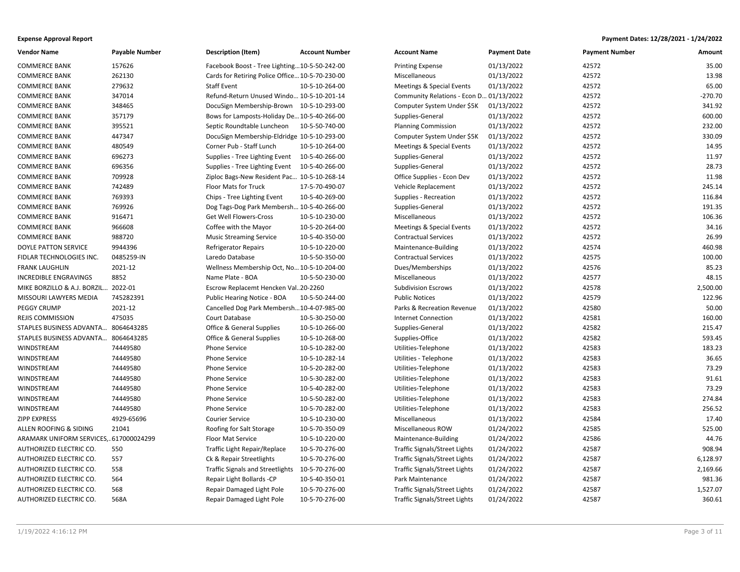| <b>Vendor Name</b>                    | <b>Payable Number</b> | <b>Description (Item)</b>                       | <b>Account Number</b> | <b>Account Name</b>                  | <b>Payment Date</b> | <b>Payment Number</b> | Amount    |
|---------------------------------------|-----------------------|-------------------------------------------------|-----------------------|--------------------------------------|---------------------|-----------------------|-----------|
| <b>COMMERCE BANK</b>                  | 157626                | Facebook Boost - Tree Lighting10-5-50-242-00    |                       | <b>Printing Expense</b>              | 01/13/2022          | 42572                 | 35.00     |
| <b>COMMERCE BANK</b>                  | 262130                | Cards for Retiring Police Office 10-5-70-230-00 |                       | Miscellaneous                        | 01/13/2022          | 42572                 | 13.98     |
| <b>COMMERCE BANK</b>                  | 279632                | Staff Event                                     | 10-5-10-264-00        | <b>Meetings &amp; Special Events</b> | 01/13/2022          | 42572                 | 65.00     |
| <b>COMMERCE BANK</b>                  | 347014                | Refund-Return Unused Windo 10-5-10-201-14       |                       | Community Relations - Econ D.        | .01/13/2022         | 42572                 | $-270.70$ |
| <b>COMMERCE BANK</b>                  | 348465                | DocuSign Membership-Brown 10-5-10-293-00        |                       | Computer System Under \$5K           | 01/13/2022          | 42572                 | 341.92    |
| <b>COMMERCE BANK</b>                  | 357179                | Bows for Lamposts-Holiday De 10-5-40-266-00     |                       | Supplies-General                     | 01/13/2022          | 42572                 | 600.00    |
| <b>COMMERCE BANK</b>                  | 395521                | Septic Roundtable Luncheon                      | 10-5-50-740-00        | <b>Planning Commission</b>           | 01/13/2022          | 42572                 | 232.00    |
| <b>COMMERCE BANK</b>                  | 447347                | DocuSign Membership-Eldridge 10-5-10-293-00     |                       | Computer System Under \$5K           | 01/13/2022          | 42572                 | 330.09    |
| <b>COMMERCE BANK</b>                  | 480549                | Corner Pub - Staff Lunch                        | 10-5-10-264-00        | Meetings & Special Events            | 01/13/2022          | 42572                 | 14.95     |
| <b>COMMERCE BANK</b>                  | 696273                | Supplies - Tree Lighting Event                  | 10-5-40-266-00        | Supplies-General                     | 01/13/2022          | 42572                 | 11.97     |
| <b>COMMERCE BANK</b>                  | 696356                | Supplies - Tree Lighting Event                  | 10-5-40-266-00        | Supplies-General                     | 01/13/2022          | 42572                 | 28.73     |
| <b>COMMERCE BANK</b>                  | 709928                | Ziploc Bags-New Resident Pac 10-5-10-268-14     |                       | Office Supplies - Econ Dev           | 01/13/2022          | 42572                 | 11.98     |
| <b>COMMERCE BANK</b>                  | 742489                | Floor Mats for Truck                            | 17-5-70-490-07        | Vehicle Replacement                  | 01/13/2022          | 42572                 | 245.14    |
| <b>COMMERCE BANK</b>                  | 769393                | Chips - Tree Lighting Event                     | 10-5-40-269-00        | Supplies - Recreation                | 01/13/2022          | 42572                 | 116.84    |
| <b>COMMERCE BANK</b>                  | 769926                | Dog Tags-Dog Park Membersh 10-5-40-266-00       |                       | Supplies-General                     | 01/13/2022          | 42572                 | 191.35    |
| <b>COMMERCE BANK</b>                  | 916471                | Get Well Flowers-Cross                          | 10-5-10-230-00        | Miscellaneous                        | 01/13/2022          | 42572                 | 106.36    |
| <b>COMMERCE BANK</b>                  | 966608                | Coffee with the Mayor                           | 10-5-20-264-00        | Meetings & Special Events            | 01/13/2022          | 42572                 | 34.16     |
| <b>COMMERCE BANK</b>                  | 988720                | <b>Music Streaming Service</b>                  | 10-5-40-350-00        | <b>Contractual Services</b>          | 01/13/2022          | 42572                 | 26.99     |
| <b>DOYLE PATTON SERVICE</b>           | 9944396               | <b>Refrigerator Repairs</b>                     | 10-5-10-220-00        | Maintenance-Building                 | 01/13/2022          | 42574                 | 460.98    |
| FIDLAR TECHNOLOGIES INC.              | 0485259-IN            | Laredo Database                                 | 10-5-50-350-00        | <b>Contractual Services</b>          | 01/13/2022          | 42575                 | 100.00    |
| <b>FRANK LAUGHLIN</b>                 | 2021-12               | Wellness Membership Oct, No 10-5-10-204-00      |                       | Dues/Memberships                     | 01/13/2022          | 42576                 | 85.23     |
| INCREDIBLE ENGRAVINGS                 | 8852                  | Name Plate - BOA                                | 10-5-50-230-00        | Miscellaneous                        | 01/13/2022          | 42577                 | 48.15     |
| MIKE BORZILLO & A.J. BORZIL 2022-01   |                       | Escrow Replacemt Hencken Val20-2260             |                       | <b>Subdivision Escrows</b>           | 01/13/2022          | 42578                 | 2,500.00  |
| MISSOURI LAWYERS MEDIA                | 745282391             | Public Hearing Notice - BOA                     | 10-5-50-244-00        | <b>Public Notices</b>                | 01/13/2022          | 42579                 | 122.96    |
| PEGGY CRUMP                           | 2021-12               | Cancelled Dog Park Membersh10-4-07-985-00       |                       | Parks & Recreation Revenue           | 01/13/2022          | 42580                 | 50.00     |
| REJIS COMMISSION                      | 475035                | Court Database                                  | 10-5-30-250-00        | <b>Internet Connection</b>           | 01/13/2022          | 42581                 | 160.00    |
| STAPLES BUSINESS ADVANTA 8064643285   |                       | Office & General Supplies                       | 10-5-10-266-00        | Supplies-General                     | 01/13/2022          | 42582                 | 215.47    |
| STAPLES BUSINESS ADVANTA 8064643285   |                       | Office & General Supplies                       | 10-5-10-268-00        | Supplies-Office                      | 01/13/2022          | 42582                 | 593.45    |
| WINDSTREAM                            | 74449580              | <b>Phone Service</b>                            | 10-5-10-282-00        | Utilities-Telephone                  | 01/13/2022          | 42583                 | 183.23    |
| WINDSTREAM                            | 74449580              | Phone Service                                   | 10-5-10-282-14        | Utilities - Telephone                | 01/13/2022          | 42583                 | 36.65     |
| WINDSTREAM                            | 74449580              | <b>Phone Service</b>                            | 10-5-20-282-00        | Utilities-Telephone                  | 01/13/2022          | 42583                 | 73.29     |
| WINDSTREAM                            | 74449580              | Phone Service                                   | 10-5-30-282-00        | Utilities-Telephone                  | 01/13/2022          | 42583                 | 91.61     |
| WINDSTREAM                            | 74449580              | Phone Service                                   | 10-5-40-282-00        | Utilities-Telephone                  | 01/13/2022          | 42583                 | 73.29     |
| WINDSTREAM                            | 74449580              | <b>Phone Service</b>                            | 10-5-50-282-00        | Utilities-Telephone                  | 01/13/2022          | 42583                 | 274.84    |
| WINDSTREAM                            | 74449580              | <b>Phone Service</b>                            | 10-5-70-282-00        | Utilities-Telephone                  | 01/13/2022          | 42583                 | 256.52    |
| <b>ZIPP EXPRESS</b>                   | 4929-65696            | <b>Courier Service</b>                          | 10-5-10-230-00        | Miscellaneous                        | 01/13/2022          | 42584                 | 17.40     |
| ALLEN ROOFING & SIDING                | 21041                 | Roofing for Salt Storage                        | 10-5-70-350-09        | Miscellaneous ROW                    | 01/24/2022          | 42585                 | 525.00    |
| ARAMARK UNIFORM SERVICES,617000024299 |                       | Floor Mat Service                               | 10-5-10-220-00        | Maintenance-Building                 | 01/24/2022          | 42586                 | 44.76     |
| AUTHORIZED ELECTRIC CO.               | 550                   | Traffic Light Repair/Replace                    | 10-5-70-276-00        | Traffic Signals/Street Lights        | 01/24/2022          | 42587                 | 908.94    |
| AUTHORIZED ELECTRIC CO.               | 557                   | Ck & Repair Streetlights                        | 10-5-70-276-00        | Traffic Signals/Street Lights        | 01/24/2022          | 42587                 | 6,128.97  |
| AUTHORIZED ELECTRIC CO.               | 558                   | <b>Traffic Signals and Streetlights</b>         | 10-5-70-276-00        | Traffic Signals/Street Lights        | 01/24/2022          | 42587                 | 2,169.66  |
| AUTHORIZED ELECTRIC CO.               | 564                   | Repair Light Bollards -CP                       | 10-5-40-350-01        | Park Maintenance                     | 01/24/2022          | 42587                 | 981.36    |
| AUTHORIZED ELECTRIC CO.               | 568                   | Repair Damaged Light Pole                       | 10-5-70-276-00        | Traffic Signals/Street Lights        | 01/24/2022          | 42587                 | 1,527.07  |
| AUTHORIZED ELECTRIC CO.               | 568A                  | Repair Damaged Light Pole                       | 10-5-70-276-00        | Traffic Signals/Street Lights        | 01/24/2022          | 42587                 | 360.61    |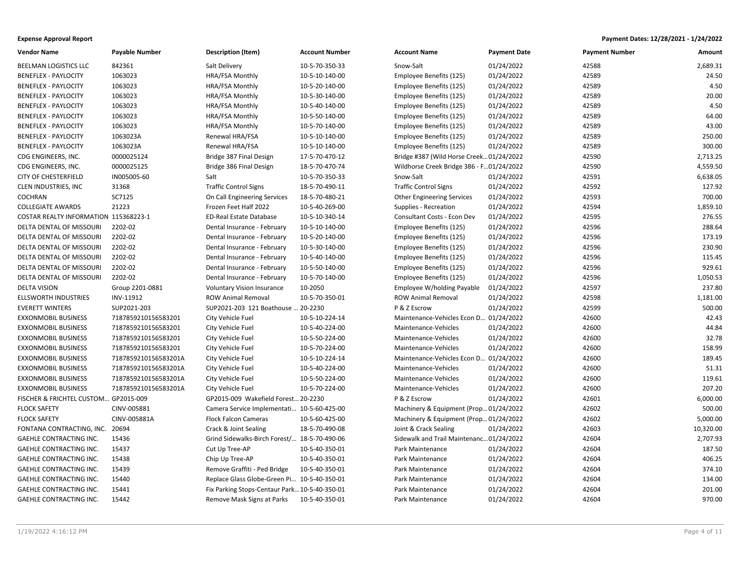| <b>Vendor Name</b>                    | <b>Payable Number</b> | <b>Description (Item)</b>                     | <b>Account Number</b> | <b>Account Name</b>                      | <b>Payment Date</b> | <b>Payment Number</b> | Amount    |
|---------------------------------------|-----------------------|-----------------------------------------------|-----------------------|------------------------------------------|---------------------|-----------------------|-----------|
| BEELMAN LOGISTICS LLC                 | 842361                | Salt Delivery                                 | 10-5-70-350-33        | Snow-Salt                                | 01/24/2022          | 42588                 | 2,689.31  |
| <b>BENEFLEX - PAYLOCITY</b>           | 1063023               | HRA/FSA Monthly                               | 10-5-10-140-00        | Employee Benefits (125)                  | 01/24/2022          | 42589                 | 24.50     |
| <b>BENEFLEX - PAYLOCITY</b>           | 1063023               | HRA/FSA Monthly                               | 10-5-20-140-00        | Employee Benefits (125)                  | 01/24/2022          | 42589                 | 4.50      |
| <b>BENEFLEX - PAYLOCITY</b>           | 1063023               | HRA/FSA Monthly                               | 10-5-30-140-00        | Employee Benefits (125)                  | 01/24/2022          | 42589                 | 20.00     |
| <b>BENEFLEX - PAYLOCITY</b>           | 1063023               | HRA/FSA Monthly                               | 10-5-40-140-00        | Employee Benefits (125)                  | 01/24/2022          | 42589                 | 4.50      |
| <b>BENEFLEX - PAYLOCITY</b>           | 1063023               | HRA/FSA Monthly                               | 10-5-50-140-00        | Employee Benefits (125)                  | 01/24/2022          | 42589                 | 64.00     |
| <b>BENEFLEX - PAYLOCITY</b>           | 1063023               | HRA/FSA Monthly                               | 10-5-70-140-00        | Employee Benefits (125)                  | 01/24/2022          | 42589                 | 43.00     |
| <b>BENEFLEX - PAYLOCITY</b>           | 1063023A              | Renewal HRA/FSA                               | 10-5-10-140-00        | Employee Benefits (125)                  | 01/24/2022          | 42589                 | 250.00    |
| <b>BENEFLEX - PAYLOCITY</b>           | 1063023A              | Renewal HRA/FSA                               | 10-5-10-140-00        | Employee Benefits (125)                  | 01/24/2022          | 42589                 | 300.00    |
| CDG ENGINEERS, INC.                   | 0000025124            | Bridge 387 Final Design                       | 17-5-70-470-12        | Bridge #387 (Wild Horse Creek 01/24/2022 |                     | 42590                 | 2,713.25  |
| CDG ENGINEERS, INC.                   | 0000025125            | Bridge 386 Final Design                       | 18-5-70-470-74        | Wildhorse Creek Bridge 386 - F01/24/2022 |                     | 42590                 | 4,559.50  |
| <b>CITY OF CHESTERFIELD</b>           | IN005005-60           | Salt                                          | 10-5-70-350-33        | Snow-Salt                                | 01/24/2022          | 42591                 | 6,638.05  |
| CLEN INDUSTRIES, INC                  | 31368                 | <b>Traffic Control Signs</b>                  | 18-5-70-490-11        | <b>Traffic Control Signs</b>             | 01/24/2022          | 42592                 | 127.92    |
| <b>COCHRAN</b>                        | SC7125                | On Call Engineering Services                  | 18-5-70-480-21        | <b>Other Engineering Services</b>        | 01/24/2022          | 42593                 | 700.00    |
| <b>COLLEGIATE AWARDS</b>              | 21223                 | Frozen Feet Half 2022                         | 10-5-40-269-00        | Supplies - Recreation                    | 01/24/2022          | 42594                 | 1,859.10  |
| COSTAR REALTY INFORMATION 115368223-1 |                       | <b>ED-Real Estate Database</b>                | 10-5-10-340-14        | Consultant Costs - Econ Dev              | 01/24/2022          | 42595                 | 276.55    |
| DELTA DENTAL OF MISSOURI              | 2202-02               | Dental Insurance - February                   | 10-5-10-140-00        | Employee Benefits (125)                  | 01/24/2022          | 42596                 | 288.64    |
| DELTA DENTAL OF MISSOURI              | 2202-02               | Dental Insurance - February                   | 10-5-20-140-00        | Employee Benefits (125)                  | 01/24/2022          | 42596                 | 173.19    |
| DELTA DENTAL OF MISSOURI              | 2202-02               | Dental Insurance - February                   | 10-5-30-140-00        | Employee Benefits (125)                  | 01/24/2022          | 42596                 | 230.90    |
| DELTA DENTAL OF MISSOURI              | 2202-02               | Dental Insurance - February                   | 10-5-40-140-00        | Employee Benefits (125)                  | 01/24/2022          | 42596                 | 115.45    |
| DELTA DENTAL OF MISSOURI              | 2202-02               | Dental Insurance - February                   | 10-5-50-140-00        | Employee Benefits (125)                  | 01/24/2022          | 42596                 | 929.61    |
| DELTA DENTAL OF MISSOURI              | 2202-02               | Dental Insurance - February                   | 10-5-70-140-00        | Employee Benefits (125)                  | 01/24/2022          | 42596                 | 1,050.53  |
| <b>DELTA VISION</b>                   | Group 2201-0881       | Voluntary Vision Insurance                    | 10-2050               | Employee W/holding Payable               | 01/24/2022          | 42597                 | 237.80    |
| <b>ELLSWORTH INDUSTRIES</b>           | INV-11912             | <b>ROW Animal Removal</b>                     | 10-5-70-350-01        | <b>ROW Animal Removal</b>                | 01/24/2022          | 42598                 | 1,181.00  |
| <b>EVERETT WINTERS</b>                | SUP2021-203           | SUP2021-203 121 Boathouse  20-2230            |                       | P & Z Escrow                             | 01/24/2022          | 42599                 | 500.00    |
| <b>EXXONMOBIL BUSINESS</b>            | 7187859210156583201   | City Vehicle Fuel                             | 10-5-10-224-14        | Maintenance-Vehicles Econ D              | 01/24/2022          | 42600                 | 42.43     |
| <b>EXXONMOBIL BUSINESS</b>            | 7187859210156583201   | City Vehicle Fuel                             | 10-5-40-224-00        | Maintenance-Vehicles                     | 01/24/2022          | 42600                 | 44.84     |
| <b>EXXONMOBIL BUSINESS</b>            | 7187859210156583201   | City Vehicle Fuel                             | 10-5-50-224-00        | Maintenance-Vehicles                     | 01/24/2022          | 42600                 | 32.78     |
| <b>EXXONMOBIL BUSINESS</b>            | 7187859210156583201   | City Vehicle Fuel                             | 10-5-70-224-00        | Maintenance-Vehicles                     | 01/24/2022          | 42600                 | 158.99    |
| EXXONMOBIL BUSINESS                   | 7187859210156583201A  | City Vehicle Fuel                             | 10-5-10-224-14        | Maintenance-Vehicles Econ D              | 01/24/2022          | 42600                 | 189.45    |
| <b>EXXONMOBIL BUSINESS</b>            | 7187859210156583201A  | City Vehicle Fuel                             | 10-5-40-224-00        | Maintenance-Vehicles                     | 01/24/2022          | 42600                 | 51.31     |
| <b>EXXONMOBIL BUSINESS</b>            | 7187859210156583201A  | City Vehicle Fuel                             | 10-5-50-224-00        | Maintenance-Vehicles                     | 01/24/2022          | 42600                 | 119.61    |
| <b>EXXONMOBIL BUSINESS</b>            | 7187859210156583201A  | City Vehicle Fuel                             | 10-5-70-224-00        | Maintenance-Vehicles                     | 01/24/2022          | 42600                 | 207.20    |
| FISCHER & FRICHTEL CUSTOM GP2015-009  |                       | GP2015-009 Wakefield Forest 20-2230           |                       | P & Z Escrow                             | 01/24/2022          | 42601                 | 6,000.00  |
| <b>FLOCK SAFETY</b>                   | CINV-005881           | Camera Service Implementati 10-5-60-425-00    |                       | Machinery & Equipment (Prop 01/24/2022   |                     | 42602                 | 500.00    |
| <b>FLOCK SAFETY</b>                   | CINV-005881A          | <b>Flock Falcon Cameras</b>                   | 10-5-60-425-00        | Machinery & Equipment (Prop 01/24/2022   |                     | 42602                 | 5,000.00  |
| FONTANA CONTRACTING, INC. 20694       |                       | Crack & Joint Sealing                         | 18-5-70-490-08        | Joint & Crack Sealing                    | 01/24/2022          | 42603                 | 10,320.00 |
| <b>GAEHLE CONTRACTING INC.</b>        | 15436                 | Grind Sidewalks-Birch Forest/ 18-5-70-490-06  |                       | Sidewalk and Trail Maintenanc01/24/2022  |                     | 42604                 | 2,707.93  |
| GAEHLE CONTRACTING INC.               | 15437                 | Cut Up Tree-AP                                | 10-5-40-350-01        | Park Maintenance                         | 01/24/2022          | 42604                 | 187.50    |
| <b>GAEHLE CONTRACTING INC.</b>        | 15438                 | Chip Up Tree-AP                               | 10-5-40-350-01        | Park Maintenance                         | 01/24/2022          | 42604                 | 406.25    |
| GAEHLE CONTRACTING INC.               | 15439                 | Remove Graffiti - Ped Bridge                  | 10-5-40-350-01        | Park Maintenance                         | 01/24/2022          | 42604                 | 374.10    |
| <b>GAEHLE CONTRACTING INC.</b>        | 15440                 | Replace Glass Globe-Green Pi 10-5-40-350-01   |                       | Park Maintenance                         | 01/24/2022          | 42604                 | 134.00    |
| <b>GAEHLE CONTRACTING INC.</b>        | 15441                 | Fix Parking Stops-Centaur Park 10-5-40-350-01 |                       | Park Maintenance                         | 01/24/2022          | 42604                 | 201.00    |
| <b>GAEHLE CONTRACTING INC.</b>        | 15442                 | Remove Mask Signs at Parks 10-5-40-350-01     |                       | Park Maintenance                         | 01/24/2022          | 42604                 | 970.00    |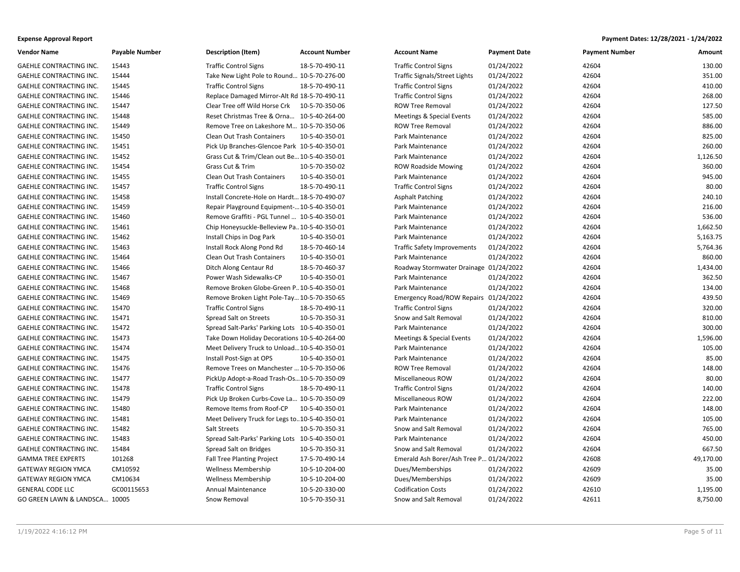| <b>Vendor Name</b>             | <b>Payable Number</b> | <b>Description (Item)</b>                      | <b>Account Number</b> | <b>Account Name</b>                    | <b>Payment Date</b> | <b>Payment Number</b> | Amount    |
|--------------------------------|-----------------------|------------------------------------------------|-----------------------|----------------------------------------|---------------------|-----------------------|-----------|
| GAEHLE CONTRACTING INC.        | 15443                 | <b>Traffic Control Signs</b>                   | 18-5-70-490-11        | <b>Traffic Control Signs</b>           | 01/24/2022          | 42604                 | 130.00    |
| GAEHLE CONTRACTING INC.        | 15444                 | Take New Light Pole to Round 10-5-70-276-00    |                       | Traffic Signals/Street Lights          | 01/24/2022          | 42604                 | 351.00    |
| GAEHLE CONTRACTING INC.        | 15445                 | <b>Traffic Control Signs</b>                   | 18-5-70-490-11        | <b>Traffic Control Signs</b>           | 01/24/2022          | 42604                 | 410.00    |
| <b>GAEHLE CONTRACTING INC.</b> | 15446                 | Replace Damaged Mirror-Alt Rd 18-5-70-490-11   |                       | <b>Traffic Control Signs</b>           | 01/24/2022          | 42604                 | 268.00    |
| GAEHLE CONTRACTING INC.        | 15447                 | Clear Tree off Wild Horse Crk                  | 10-5-70-350-06        | <b>ROW Tree Removal</b>                | 01/24/2022          | 42604                 | 127.50    |
| <b>GAEHLE CONTRACTING INC.</b> | 15448                 | Reset Christmas Tree & Orna 10-5-40-264-00     |                       | Meetings & Special Events              | 01/24/2022          | 42604                 | 585.00    |
| GAEHLE CONTRACTING INC.        | 15449                 | Remove Tree on Lakeshore M 10-5-70-350-06      |                       | <b>ROW Tree Removal</b>                | 01/24/2022          | 42604                 | 886.00    |
| GAEHLE CONTRACTING INC.        | 15450                 | Clean Out Trash Containers                     | 10-5-40-350-01        | Park Maintenance                       | 01/24/2022          | 42604                 | 825.00    |
| GAEHLE CONTRACTING INC.        | 15451                 | Pick Up Branches-Glencoe Park 10-5-40-350-01   |                       | Park Maintenance                       | 01/24/2022          | 42604                 | 260.00    |
| GAEHLE CONTRACTING INC.        | 15452                 | Grass Cut & Trim/Clean out Be 10-5-40-350-01   |                       | Park Maintenance                       | 01/24/2022          | 42604                 | 1,126.50  |
| GAEHLE CONTRACTING INC.        | 15454                 | Grass Cut & Trim                               | 10-5-70-350-02        | <b>ROW Roadside Mowing</b>             | 01/24/2022          | 42604                 | 360.00    |
| <b>GAEHLE CONTRACTING INC.</b> | 15455                 | Clean Out Trash Containers                     | 10-5-40-350-01        | Park Maintenance                       | 01/24/2022          | 42604                 | 945.00    |
| GAEHLE CONTRACTING INC.        | 15457                 | <b>Traffic Control Signs</b>                   | 18-5-70-490-11        | <b>Traffic Control Signs</b>           | 01/24/2022          | 42604                 | 80.00     |
| GAEHLE CONTRACTING INC.        | 15458                 | Install Concrete-Hole on Hardt 18-5-70-490-07  |                       | <b>Asphalt Patching</b>                | 01/24/2022          | 42604                 | 240.10    |
| GAEHLE CONTRACTING INC.        | 15459                 | Repair Playground Equipment- 10-5-40-350-01    |                       | Park Maintenance                       | 01/24/2022          | 42604                 | 216.00    |
| GAEHLE CONTRACTING INC.        | 15460                 | Remove Graffiti - PGL Tunnel  10-5-40-350-01   |                       | Park Maintenance                       | 01/24/2022          | 42604                 | 536.00    |
| GAEHLE CONTRACTING INC.        | 15461                 | Chip Honeysuckle-Belleview Pa., 10-5-40-350-01 |                       | Park Maintenance                       | 01/24/2022          | 42604                 | 1,662.50  |
| <b>GAEHLE CONTRACTING INC.</b> | 15462                 | Install Chips in Dog Park                      | 10-5-40-350-01        | Park Maintenance                       | 01/24/2022          | 42604                 | 5,163.75  |
| GAEHLE CONTRACTING INC.        | 15463                 | Install Rock Along Pond Rd                     | 18-5-70-460-14        | <b>Traffic Safety Improvements</b>     | 01/24/2022          | 42604                 | 5,764.36  |
| <b>GAEHLE CONTRACTING INC.</b> | 15464                 | Clean Out Trash Containers                     | 10-5-40-350-01        | Park Maintenance                       | 01/24/2022          | 42604                 | 860.00    |
| GAEHLE CONTRACTING INC.        | 15466                 | Ditch Along Centaur Rd                         | 18-5-70-460-37        | Roadway Stormwater Drainage 01/24/2022 |                     | 42604                 | 1,434.00  |
| GAEHLE CONTRACTING INC.        | 15467                 | Power Wash Sidewalks-CP                        | 10-5-40-350-01        | Park Maintenance                       | 01/24/2022          | 42604                 | 362.50    |
| GAEHLE CONTRACTING INC.        | 15468                 | Remove Broken Globe-Green P., 10-5-40-350-01   |                       | Park Maintenance                       | 01/24/2022          | 42604                 | 134.00    |
| GAEHLE CONTRACTING INC.        | 15469                 | Remove Broken Light Pole-Tay 10-5-70-350-65    |                       | Emergency Road/ROW Repairs 01/24/2022  |                     | 42604                 | 439.50    |
| GAEHLE CONTRACTING INC.        | 15470                 | <b>Traffic Control Signs</b>                   | 18-5-70-490-11        | <b>Traffic Control Signs</b>           | 01/24/2022          | 42604                 | 320.00    |
| GAEHLE CONTRACTING INC.        | 15471                 | Spread Salt on Streets                         | 10-5-70-350-31        | Snow and Salt Removal                  | 01/24/2022          | 42604                 | 810.00    |
| GAEHLE CONTRACTING INC.        | 15472                 | Spread Salt-Parks' Parking Lots 10-5-40-350-01 |                       | Park Maintenance                       | 01/24/2022          | 42604                 | 300.00    |
| GAEHLE CONTRACTING INC.        | 15473                 | Take Down Holiday Decorations 10-5-40-264-00   |                       | Meetings & Special Events              | 01/24/2022          | 42604                 | 1,596.00  |
| GAEHLE CONTRACTING INC.        | 15474                 | Meet Delivery Truck to Unload 10-5-40-350-01   |                       | Park Maintenance                       | 01/24/2022          | 42604                 | 105.00    |
| GAEHLE CONTRACTING INC.        | 15475                 | Install Post-Sign at OPS                       | 10-5-40-350-01        | Park Maintenance                       | 01/24/2022          | 42604                 | 85.00     |
| GAEHLE CONTRACTING INC.        | 15476                 | Remove Trees on Manchester  10-5-70-350-06     |                       | <b>ROW Tree Removal</b>                | 01/24/2022          | 42604                 | 148.00    |
| GAEHLE CONTRACTING INC.        | 15477                 | PickUp Adopt-a-Road Trash-Os10-5-70-350-09     |                       | Miscellaneous ROW                      | 01/24/2022          | 42604                 | 80.00     |
| GAEHLE CONTRACTING INC.        | 15478                 | <b>Traffic Control Signs</b>                   | 18-5-70-490-11        | <b>Traffic Control Signs</b>           | 01/24/2022          | 42604                 | 140.00    |
| <b>GAEHLE CONTRACTING INC.</b> | 15479                 | Pick Up Broken Curbs-Cove La 10-5-70-350-09    |                       | Miscellaneous ROW                      | 01/24/2022          | 42604                 | 222.00    |
| GAEHLE CONTRACTING INC.        | 15480                 | Remove Items from Roof-CP                      | 10-5-40-350-01        | Park Maintenance                       | 01/24/2022          | 42604                 | 148.00    |
| GAEHLE CONTRACTING INC.        | 15481                 | Meet Delivery Truck for Legs to10-5-40-350-01  |                       | Park Maintenance                       | 01/24/2022          | 42604                 | 105.00    |
| GAEHLE CONTRACTING INC.        | 15482                 | Salt Streets                                   | 10-5-70-350-31        | Snow and Salt Removal                  | 01/24/2022          | 42604                 | 765.00    |
| GAEHLE CONTRACTING INC.        | 15483                 | Spread Salt-Parks' Parking Lots 10-5-40-350-01 |                       | Park Maintenance                       | 01/24/2022          | 42604                 | 450.00    |
| GAEHLE CONTRACTING INC.        | 15484                 | Spread Salt on Bridges                         | 10-5-70-350-31        | Snow and Salt Removal                  | 01/24/2022          | 42604                 | 667.50    |
| <b>GAMMA TREE EXPERTS</b>      | 101268                | <b>Fall Tree Planting Project</b>              | 17-5-70-490-14        | Emerald Ash Borer/Ash Tree P           | . 01/24/2022        | 42608                 | 49,170.00 |
| <b>GATEWAY REGION YMCA</b>     | CM10592               | <b>Wellness Membership</b>                     | 10-5-10-204-00        | Dues/Memberships                       | 01/24/2022          | 42609                 | 35.00     |
| <b>GATEWAY REGION YMCA</b>     | CM10634               | <b>Wellness Membership</b>                     | 10-5-10-204-00        | Dues/Memberships                       | 01/24/2022          | 42609                 | 35.00     |
| <b>GENERAL CODE LLC</b>        | GC00115653            | <b>Annual Maintenance</b>                      | 10-5-20-330-00        | <b>Codification Costs</b>              | 01/24/2022          | 42610                 | 1,195.00  |
| GO GREEN LAWN & LANDSCA 10005  |                       | Snow Removal                                   | 10-5-70-350-31        | Snow and Salt Removal                  | 01/24/2022          | 42611                 | 8,750.00  |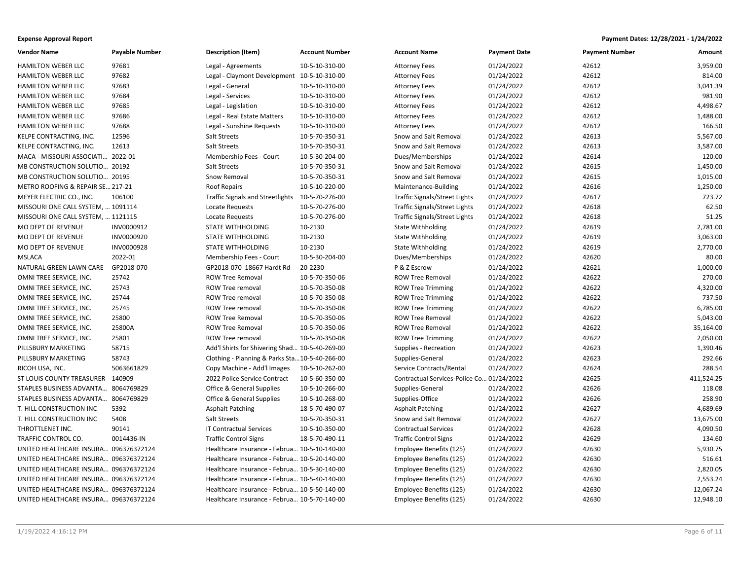| <b>Vendor Name</b>                    | <b>Payable Number</b> | <b>Description (Item)</b>                      | <b>Account Number</b> | <b>Account Name</b>                       | <b>Payment Date</b> | <b>Payment Number</b> | Amount     |
|---------------------------------------|-----------------------|------------------------------------------------|-----------------------|-------------------------------------------|---------------------|-----------------------|------------|
| <b>HAMILTON WEBER LLC</b>             | 97681                 | Legal - Agreements                             | 10-5-10-310-00        | <b>Attorney Fees</b>                      | 01/24/2022          | 42612                 | 3,959.00   |
| HAMILTON WEBER LLC                    | 97682                 | Legal - Claymont Development 10-5-10-310-00    |                       | <b>Attorney Fees</b>                      | 01/24/2022          | 42612                 | 814.00     |
| <b>HAMILTON WEBER LLC</b>             | 97683                 | Legal - General                                | 10-5-10-310-00        | <b>Attorney Fees</b>                      | 01/24/2022          | 42612                 | 3,041.39   |
| <b>HAMILTON WEBER LLC</b>             | 97684                 | Legal - Services                               | 10-5-10-310-00        | <b>Attorney Fees</b>                      | 01/24/2022          | 42612                 | 981.90     |
| HAMILTON WEBER LLC                    | 97685                 | Legal - Legislation                            | 10-5-10-310-00        | <b>Attorney Fees</b>                      | 01/24/2022          | 42612                 | 4,498.67   |
| <b>HAMILTON WEBER LLC</b>             | 97686                 | Legal - Real Estate Matters                    | 10-5-10-310-00        | <b>Attorney Fees</b>                      | 01/24/2022          | 42612                 | 1,488.00   |
| HAMILTON WEBER LLC                    | 97688                 | Legal - Sunshine Requests                      | 10-5-10-310-00        | <b>Attorney Fees</b>                      | 01/24/2022          | 42612                 | 166.50     |
| KELPE CONTRACTING, INC.               | 12596                 | Salt Streets                                   | 10-5-70-350-31        | Snow and Salt Removal                     | 01/24/2022          | 42613                 | 5,567.00   |
| KELPE CONTRACTING, INC.               | 12613                 | Salt Streets                                   | 10-5-70-350-31        | Snow and Salt Removal                     | 01/24/2022          | 42613                 | 3,587.00   |
| MACA - MISSOURI ASSOCIATI 2022-01     |                       | Membership Fees - Court                        | 10-5-30-204-00        | Dues/Memberships                          | 01/24/2022          | 42614                 | 120.00     |
| MB CONSTRUCTION SOLUTIO 20192         |                       | Salt Streets                                   | 10-5-70-350-31        | Snow and Salt Removal                     | 01/24/2022          | 42615                 | 1,450.00   |
| MB CONSTRUCTION SOLUTIO 20195         |                       | Snow Removal                                   | 10-5-70-350-31        | Snow and Salt Removal                     | 01/24/2022          | 42615                 | 1,015.00   |
| METRO ROOFING & REPAIR SE 217-21      |                       | Roof Repairs                                   | 10-5-10-220-00        | Maintenance-Building                      | 01/24/2022          | 42616                 | 1,250.00   |
| MEYER ELECTRIC CO., INC.              | 106100                | <b>Traffic Signals and Streetlights</b>        | 10-5-70-276-00        | Traffic Signals/Street Lights             | 01/24/2022          | 42617                 | 723.72     |
| MISSOURI ONE CALL SYSTEM,  1091114    |                       | <b>Locate Requests</b>                         | 10-5-70-276-00        | Traffic Signals/Street Lights             | 01/24/2022          | 42618                 | 62.50      |
| MISSOURI ONE CALL SYSTEM,  1121115    |                       | Locate Requests                                | 10-5-70-276-00        | Traffic Signals/Street Lights             | 01/24/2022          | 42618                 | 51.25      |
| MO DEPT OF REVENUE                    | INV0000912            | <b>STATE WITHHOLDING</b>                       | 10-2130               | <b>State Withholding</b>                  | 01/24/2022          | 42619                 | 2,781.00   |
| MO DEPT OF REVENUE                    | INV0000920            | <b>STATE WITHHOLDING</b>                       | 10-2130               | <b>State Withholding</b>                  | 01/24/2022          | 42619                 | 3,063.00   |
| MO DEPT OF REVENUE                    | INV0000928            | <b>STATE WITHHOLDING</b>                       | 10-2130               | <b>State Withholding</b>                  | 01/24/2022          | 42619                 | 2,770.00   |
| <b>MSLACA</b>                         | 2022-01               | Membership Fees - Court                        | 10-5-30-204-00        | Dues/Memberships                          | 01/24/2022          | 42620                 | 80.00      |
| NATURAL GREEN LAWN CARE               | GP2018-070            | GP2018-070 18667 Hardt Rd                      | 20-2230               | P & Z Escrow                              | 01/24/2022          | 42621                 | 1,000.00   |
| OMNI TREE SERVICE, INC.               | 25742                 | <b>ROW Tree Removal</b>                        | 10-5-70-350-06        | <b>ROW Tree Removal</b>                   | 01/24/2022          | 42622                 | 270.00     |
| OMNI TREE SERVICE, INC.               | 25743                 | ROW Tree removal                               | 10-5-70-350-08        | <b>ROW Tree Trimming</b>                  | 01/24/2022          | 42622                 | 4,320.00   |
| OMNI TREE SERVICE, INC.               | 25744                 | ROW Tree removal                               | 10-5-70-350-08        | <b>ROW Tree Trimming</b>                  | 01/24/2022          | 42622                 | 737.50     |
| OMNI TREE SERVICE, INC.               | 25745                 | ROW Tree removal                               | 10-5-70-350-08        | <b>ROW Tree Trimming</b>                  | 01/24/2022          | 42622                 | 6,785.00   |
| OMNI TREE SERVICE, INC.               | 25800                 | <b>ROW Tree Removal</b>                        | 10-5-70-350-06        | <b>ROW Tree Removal</b>                   | 01/24/2022          | 42622                 | 5,043.00   |
| OMNI TREE SERVICE, INC.               | 25800A                | <b>ROW Tree Removal</b>                        | 10-5-70-350-06        | <b>ROW Tree Removal</b>                   | 01/24/2022          | 42622                 | 35,164.00  |
| OMNI TREE SERVICE, INC.               | 25801                 | <b>ROW Tree removal</b>                        | 10-5-70-350-08        | <b>ROW Tree Trimming</b>                  | 01/24/2022          | 42622                 | 2,050.00   |
| PILLSBURY MARKETING                   | 58715                 | Add'l Shirts for Shivering Shad 10-5-40-269-00 |                       | Supplies - Recreation                     | 01/24/2022          | 42623                 | 1,390.46   |
| PILLSBURY MARKETING                   | 58743                 | Clothing - Planning & Parks Sta10-5-40-266-00  |                       | Supplies-General                          | 01/24/2022          | 42623                 | 292.66     |
| RICOH USA, INC.                       | 5063661829            | Copy Machine - Add'l Images                    | 10-5-10-262-00        | Service Contracts/Rental                  | 01/24/2022          | 42624                 | 288.54     |
| ST LOUIS COUNTY TREASURER 140909      |                       | 2022 Police Service Contract                   | 10-5-60-350-00        | Contractual Services-Police Co 01/24/2022 |                     | 42625                 | 411,524.25 |
| STAPLES BUSINESS ADVANTA 8064769829   |                       | Office & General Supplies                      | 10-5-10-266-00        | Supplies-General                          | 01/24/2022          | 42626                 | 118.08     |
| STAPLES BUSINESS ADVANTA 8064769829   |                       | <b>Office &amp; General Supplies</b>           | 10-5-10-268-00        | Supplies-Office                           | 01/24/2022          | 42626                 | 258.90     |
| T. HILL CONSTRUCTION INC              | 5392                  | <b>Asphalt Patching</b>                        | 18-5-70-490-07        | <b>Asphalt Patching</b>                   | 01/24/2022          | 42627                 | 4,689.69   |
| T. HILL CONSTRUCTION INC              | 5408                  | Salt Streets                                   | 10-5-70-350-31        | Snow and Salt Removal                     | 01/24/2022          | 42627                 | 13,675.00  |
| THROTTLENET INC.                      | 90141                 | <b>IT Contractual Services</b>                 | 10-5-10-350-00        | <b>Contractual Services</b>               | 01/24/2022          | 42628                 | 4,090.50   |
| TRAFFIC CONTROL CO.                   | 0014436-IN            | <b>Traffic Control Signs</b>                   | 18-5-70-490-11        | <b>Traffic Control Signs</b>              | 01/24/2022          | 42629                 | 134.60     |
| UNITED HEALTHCARE INSURA 096376372124 |                       | Healthcare Insurance - Februa 10-5-10-140-00   |                       | Employee Benefits (125)                   | 01/24/2022          | 42630                 | 5,930.75   |
| UNITED HEALTHCARE INSURA 096376372124 |                       | Healthcare Insurance - Februa 10-5-20-140-00   |                       | Employee Benefits (125)                   | 01/24/2022          | 42630                 | 516.61     |
| UNITED HEALTHCARE INSURA 096376372124 |                       | Healthcare Insurance - Februa 10-5-30-140-00   |                       | Employee Benefits (125)                   | 01/24/2022          | 42630                 | 2,820.05   |
| UNITED HEALTHCARE INSURA 096376372124 |                       | Healthcare Insurance - Februa 10-5-40-140-00   |                       | Employee Benefits (125)                   | 01/24/2022          | 42630                 | 2,553.24   |
| UNITED HEALTHCARE INSURA 096376372124 |                       | Healthcare Insurance - Februa 10-5-50-140-00   |                       | Employee Benefits (125)                   | 01/24/2022          | 42630                 | 12,067.24  |
| UNITED HEALTHCARE INSURA 096376372124 |                       | Healthcare Insurance - Februa 10-5-70-140-00   |                       | Employee Benefits (125)                   | 01/24/2022          | 42630                 | 12,948.10  |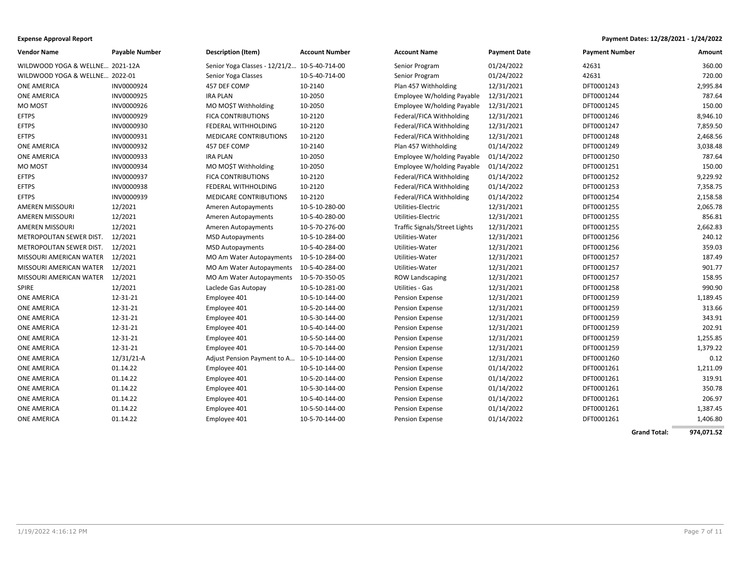| <b>Expense Approval Report</b> | Payment Dates: 12/28/2021 - 1/24/2022 |
|--------------------------------|---------------------------------------|
|--------------------------------|---------------------------------------|

| <b>Vendor Name</b>              | <b>Payable Number</b> | <b>Description (Item)</b>                    | <b>Account Number</b> | <b>Account Name</b>           | <b>Payment Date</b> | <b>Payment Number</b> | Amount   |
|---------------------------------|-----------------------|----------------------------------------------|-----------------------|-------------------------------|---------------------|-----------------------|----------|
| WILDWOOD YOGA & WELLNE 2021-12A |                       | Senior Yoga Classes - 12/21/2 10-5-40-714-00 |                       | Senior Program                | 01/24/2022          | 42631                 | 360.00   |
| WILDWOOD YOGA & WELLNE 2022-01  |                       | Senior Yoga Classes                          | 10-5-40-714-00        | Senior Program                | 01/24/2022          | 42631                 | 720.00   |
| <b>ONE AMERICA</b>              | INV0000924            | 457 DEF COMP                                 | 10-2140               | Plan 457 Withholding          | 12/31/2021          | DFT0001243            | 2,995.84 |
| <b>ONE AMERICA</b>              | INV0000925            | <b>IRA PLAN</b>                              | 10-2050               | Employee W/holding Payable    | 12/31/2021          | DFT0001244            | 787.64   |
| MO MOST                         | INV0000926            | MO MO\$T Withholding                         | 10-2050               | Employee W/holding Payable    | 12/31/2021          | DFT0001245            | 150.00   |
| <b>EFTPS</b>                    | INV0000929            | <b>FICA CONTRIBUTIONS</b>                    | 10-2120               | Federal/FICA Withholding      | 12/31/2021          | DFT0001246            | 8,946.10 |
| <b>EFTPS</b>                    | INV0000930            | FEDERAL WITHHOLDING                          | 10-2120               | Federal/FICA Withholding      | 12/31/2021          | DFT0001247            | 7,859.50 |
| <b>EFTPS</b>                    | INV0000931            | <b>MEDICARE CONTRIBUTIONS</b>                | 10-2120               | Federal/FICA Withholding      | 12/31/2021          | DFT0001248            | 2,468.56 |
| <b>ONE AMERICA</b>              | INV0000932            | 457 DEF COMP                                 | 10-2140               | Plan 457 Withholding          | 01/14/2022          | DFT0001249            | 3,038.48 |
| <b>ONE AMERICA</b>              | INV0000933            | <b>IRA PLAN</b>                              | 10-2050               | Employee W/holding Payable    | 01/14/2022          | DFT0001250            | 787.64   |
| MO MOST                         | INV0000934            | MO MO\$T Withholding                         | 10-2050               | Employee W/holding Payable    | 01/14/2022          | DFT0001251            | 150.00   |
| <b>EFTPS</b>                    | INV0000937            | <b>FICA CONTRIBUTIONS</b>                    | 10-2120               | Federal/FICA Withholding      | 01/14/2022          | DFT0001252            | 9,229.92 |
| <b>EFTPS</b>                    | INV0000938            | FEDERAL WITHHOLDING                          | 10-2120               | Federal/FICA Withholding      | 01/14/2022          | DFT0001253            | 7,358.75 |
| <b>EFTPS</b>                    | INV0000939            | <b>MEDICARE CONTRIBUTIONS</b>                | 10-2120               | Federal/FICA Withholding      | 01/14/2022          | DFT0001254            | 2,158.58 |
| AMEREN MISSOURI                 | 12/2021               | Ameren Autopayments                          | 10-5-10-280-00        | Utilities-Electric            | 12/31/2021          | DFT0001255            | 2,065.78 |
| <b>AMEREN MISSOURI</b>          | 12/2021               | Ameren Autopayments                          | 10-5-40-280-00        | Utilities-Electric            | 12/31/2021          | DFT0001255            | 856.81   |
| <b>AMEREN MISSOURI</b>          | 12/2021               | Ameren Autopayments                          | 10-5-70-276-00        | Traffic Signals/Street Lights | 12/31/2021          | DFT0001255            | 2,662.83 |
| METROPOLITAN SEWER DIST.        | 12/2021               | <b>MSD Autopayments</b>                      | 10-5-10-284-00        | Utilities-Water               | 12/31/2021          | DFT0001256            | 240.12   |
| METROPOLITAN SEWER DIST.        | 12/2021               | <b>MSD Autopayments</b>                      | 10-5-40-284-00        | Utilities-Water               | 12/31/2021          | DFT0001256            | 359.03   |
| MISSOURI AMERICAN WATER         | 12/2021               | MO Am Water Autopayments                     | 10-5-10-284-00        | Utilities-Water               | 12/31/2021          | DFT0001257            | 187.49   |
| MISSOURI AMERICAN WATER         | 12/2021               | MO Am Water Autopayments                     | 10-5-40-284-00        | Utilities-Water               | 12/31/2021          | DFT0001257            | 901.77   |
| MISSOURI AMERICAN WATER         | 12/2021               | MO Am Water Autopayments                     | 10-5-70-350-05        | <b>ROW Landscaping</b>        | 12/31/2021          | DFT0001257            | 158.95   |
| <b>SPIRE</b>                    | 12/2021               | Laclede Gas Autopay                          | 10-5-10-281-00        | Utilities - Gas               | 12/31/2021          | DFT0001258            | 990.90   |
| <b>ONE AMERICA</b>              | 12-31-21              | Employee 401                                 | 10-5-10-144-00        | <b>Pension Expense</b>        | 12/31/2021          | DFT0001259            | 1,189.45 |
| <b>ONE AMERICA</b>              | 12-31-21              | Employee 401                                 | 10-5-20-144-00        | Pension Expense               | 12/31/2021          | DFT0001259            | 313.66   |
| <b>ONE AMERICA</b>              | 12-31-21              | Employee 401                                 | 10-5-30-144-00        | Pension Expense               | 12/31/2021          | DFT0001259            | 343.91   |
| <b>ONE AMERICA</b>              | 12-31-21              | Employee 401                                 | 10-5-40-144-00        | Pension Expense               | 12/31/2021          | DFT0001259            | 202.91   |
| <b>ONE AMERICA</b>              | 12-31-21              | Employee 401                                 | 10-5-50-144-00        | Pension Expense               | 12/31/2021          | DFT0001259            | 1,255.85 |
| <b>ONE AMERICA</b>              | 12-31-21              | Employee 401                                 | 10-5-70-144-00        | Pension Expense               | 12/31/2021          | DFT0001259            | 1,379.22 |
| <b>ONE AMERICA</b>              | $12/31/21-A$          | Adjust Pension Payment to A 10-5-10-144-00   |                       | <b>Pension Expense</b>        | 12/31/2021          | DFT0001260            | 0.12     |
| <b>ONE AMERICA</b>              | 01.14.22              | Employee 401                                 | 10-5-10-144-00        | Pension Expense               | 01/14/2022          | DFT0001261            | 1,211.09 |
| <b>ONE AMERICA</b>              | 01.14.22              | Employee 401                                 | 10-5-20-144-00        | Pension Expense               | 01/14/2022          | DFT0001261            | 319.91   |
| <b>ONE AMERICA</b>              | 01.14.22              | Employee 401                                 | 10-5-30-144-00        | Pension Expense               | 01/14/2022          | DFT0001261            | 350.78   |
| <b>ONE AMERICA</b>              | 01.14.22              | Employee 401                                 | 10-5-40-144-00        | Pension Expense               | 01/14/2022          | DFT0001261            | 206.97   |
| <b>ONE AMERICA</b>              | 01.14.22              | Employee 401                                 | 10-5-50-144-00        | <b>Pension Expense</b>        | 01/14/2022          | DFT0001261            | 1,387.45 |
| <b>ONE AMERICA</b>              | 01.14.22              | Employee 401                                 | 10-5-70-144-00        | <b>Pension Expense</b>        | 01/14/2022          | DFT0001261            | 1,406.80 |

**Grand Total: 974,071.52**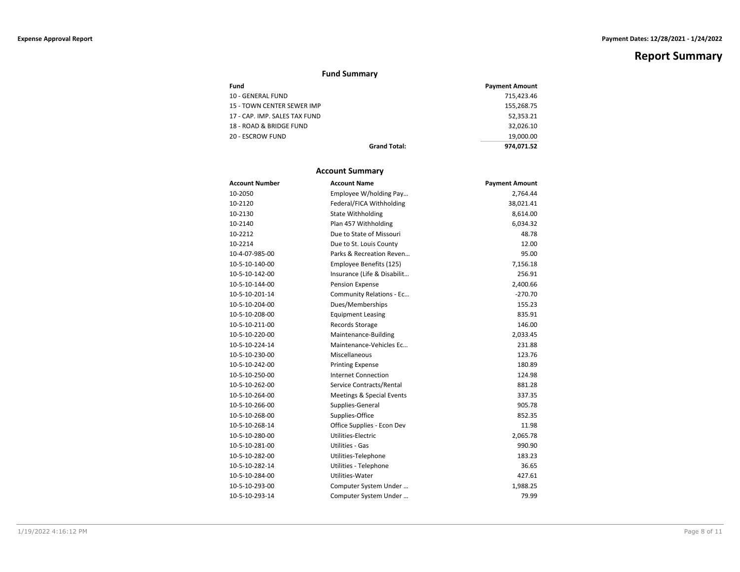# **Fund Summary**

| Fund                          | <b>Payment Amount</b> |
|-------------------------------|-----------------------|
| 10 - GENERAL FUND             | 715.423.46            |
| 15 - TOWN CENTER SEWER IMP    | 155.268.75            |
| 17 - CAP. IMP. SALES TAX FUND | 52.353.21             |
| 18 - ROAD & BRIDGE FUND       | 32.026.10             |
| 20 - ESCROW FUND              | 19.000.00             |
| <b>Grand Total:</b>           | 974.071.52            |

### **Account Summary**

| <b>Account Number</b> | <b>Account Name</b>                  | <b>Payment Amount</b> |
|-----------------------|--------------------------------------|-----------------------|
| 10-2050               | Employee W/holding Pay               | 2,764.44              |
| 10-2120               | Federal/FICA Withholding             | 38,021.41             |
| 10-2130               | <b>State Withholding</b>             | 8,614.00              |
| 10-2140               | Plan 457 Withholding                 | 6,034.32              |
| 10-2212               | Due to State of Missouri             | 48.78                 |
| 10-2214               | Due to St. Louis County              | 12.00                 |
| 10-4-07-985-00        | Parks & Recreation Reven             | 95.00                 |
| 10-5-10-140-00        | Employee Benefits (125)              | 7,156.18              |
| 10-5-10-142-00        | Insurance (Life & Disabilit          | 256.91                |
| 10-5-10-144-00        | <b>Pension Expense</b>               | 2,400.66              |
| 10-5-10-201-14        | Community Relations - Ec             | $-270.70$             |
| 10-5-10-204-00        | Dues/Memberships                     | 155.23                |
| 10-5-10-208-00        | <b>Equipment Leasing</b>             | 835.91                |
| 10-5-10-211-00        | Records Storage                      | 146.00                |
| 10-5-10-220-00        | Maintenance-Building                 | 2,033.45              |
| 10-5-10-224-14        | Maintenance-Vehicles Ec              | 231.88                |
| 10-5-10-230-00        | Miscellaneous                        | 123.76                |
| 10-5-10-242-00        | <b>Printing Expense</b>              | 180.89                |
| 10-5-10-250-00        | Internet Connection                  | 124.98                |
| 10-5-10-262-00        | Service Contracts/Rental             | 881.28                |
| 10-5-10-264-00        | <b>Meetings &amp; Special Events</b> | 337.35                |
| 10-5-10-266-00        | Supplies-General                     | 905.78                |
| 10-5-10-268-00        | Supplies-Office                      | 852.35                |
| 10-5-10-268-14        | Office Supplies - Econ Dev           | 11.98                 |
| 10-5-10-280-00        | Utilities-Electric                   | 2,065.78              |
| 10-5-10-281-00        | Utilities - Gas                      | 990.90                |
| 10-5-10-282-00        | Utilities-Telephone                  | 183.23                |
| 10-5-10-282-14        | Utilities - Telephone                | 36.65                 |
| 10-5-10-284-00        | Utilities-Water                      | 427.61                |
| 10-5-10-293-00        | Computer System Under                | 1,988.25              |
| 10-5-10-293-14        | Computer System Under                | 79.99                 |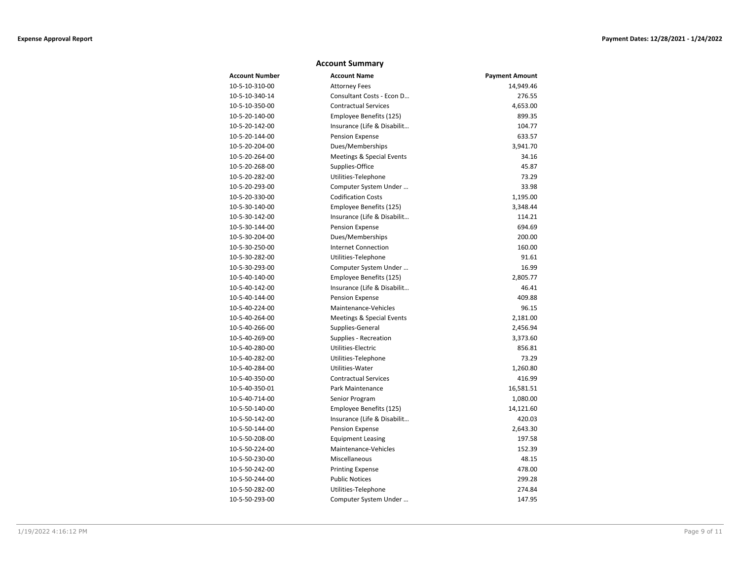## **Account Summary**

| <b>Account Number</b> | <b>Account Name</b>         | <b>Payment Amount</b> |
|-----------------------|-----------------------------|-----------------------|
| 10-5-10-310-00        | <b>Attorney Fees</b>        | 14,949.46             |
| 10-5-10-340-14        | Consultant Costs - Econ D   | 276.55                |
| 10-5-10-350-00        | <b>Contractual Services</b> | 4,653.00              |
| 10-5-20-140-00        | Employee Benefits (125)     | 899.35                |
| 10-5-20-142-00        | Insurance (Life & Disabilit | 104.77                |
| 10-5-20-144-00        | Pension Expense             | 633.57                |
| 10-5-20-204-00        | Dues/Memberships            | 3,941.70              |
| 10-5-20-264-00        | Meetings & Special Events   | 34.16                 |
| 10-5-20-268-00        | Supplies-Office             | 45.87                 |
| 10-5-20-282-00        | Utilities-Telephone         | 73.29                 |
| 10-5-20-293-00        | Computer System Under       | 33.98                 |
| 10-5-20-330-00        | <b>Codification Costs</b>   | 1,195.00              |
| 10-5-30-140-00        | Employee Benefits (125)     | 3,348.44              |
| 10-5-30-142-00        | Insurance (Life & Disabilit | 114.21                |
| 10-5-30-144-00        | Pension Expense             | 694.69                |
| 10-5-30-204-00        | Dues/Memberships            | 200.00                |
| 10-5-30-250-00        | <b>Internet Connection</b>  | 160.00                |
| 10-5-30-282-00        | Utilities-Telephone         | 91.61                 |
| 10-5-30-293-00        | Computer System Under       | 16.99                 |
| 10-5-40-140-00        | Employee Benefits (125)     | 2,805.77              |
| 10-5-40-142-00        | Insurance (Life & Disabilit | 46.41                 |
| 10-5-40-144-00        | Pension Expense             | 409.88                |
| 10-5-40-224-00        | Maintenance-Vehicles        | 96.15                 |
| 10-5-40-264-00        | Meetings & Special Events   | 2,181.00              |
| 10-5-40-266-00        | Supplies-General            | 2,456.94              |
| 10-5-40-269-00        | Supplies - Recreation       | 3,373.60              |
| 10-5-40-280-00        | Utilities-Electric          | 856.81                |
| 10-5-40-282-00        | Utilities-Telephone         | 73.29                 |
| 10-5-40-284-00        | Utilities-Water             | 1,260.80              |
| 10-5-40-350-00        | <b>Contractual Services</b> | 416.99                |
| 10-5-40-350-01        | Park Maintenance            | 16,581.51             |
| 10-5-40-714-00        | Senior Program              | 1,080.00              |
| 10-5-50-140-00        | Employee Benefits (125)     | 14,121.60             |
| 10-5-50-142-00        | Insurance (Life & Disabilit | 420.03                |
| 10-5-50-144-00        | Pension Expense             | 2,643.30              |
| 10-5-50-208-00        | <b>Equipment Leasing</b>    | 197.58                |
| 10-5-50-224-00        | Maintenance-Vehicles        | 152.39                |
| 10-5-50-230-00        | Miscellaneous               | 48.15                 |
| 10-5-50-242-00        | <b>Printing Expense</b>     | 478.00                |
| 10-5-50-244-00        | <b>Public Notices</b>       | 299.28                |
| 10-5-50-282-00        | Utilities-Telephone         | 274.84                |
| 10-5-50-293-00        | Computer System Under       | 147.95                |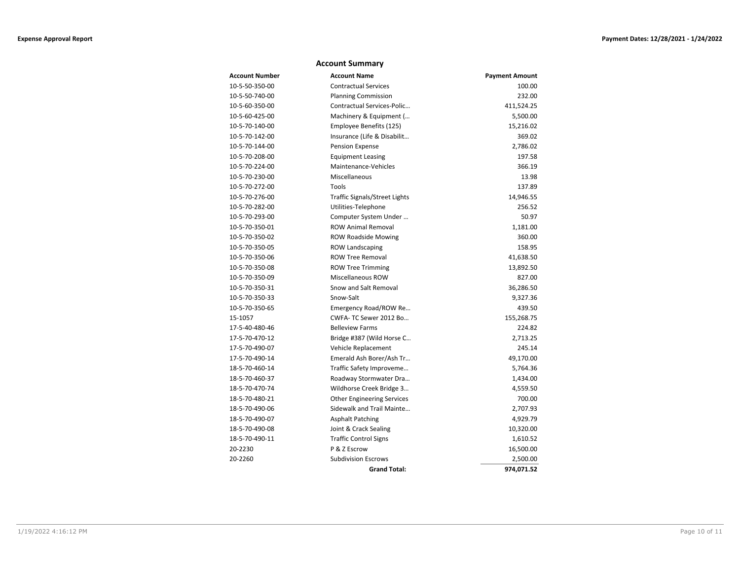### **Account Summary**

| <b>Account Number</b> | <b>Account Name</b>                  | <b>Payment Amount</b> |
|-----------------------|--------------------------------------|-----------------------|
| 10-5-50-350-00        | <b>Contractual Services</b>          | 100.00                |
| 10-5-50-740-00        | <b>Planning Commission</b>           | 232.00                |
| 10-5-60-350-00        | Contractual Services-Polic           | 411,524.25            |
| 10-5-60-425-00        | Machinery & Equipment (              | 5,500.00              |
| 10-5-70-140-00        | Employee Benefits (125)              | 15,216.02             |
| 10-5-70-142-00        | Insurance (Life & Disabilit          | 369.02                |
| 10-5-70-144-00        | Pension Expense                      | 2,786.02              |
| 10-5-70-208-00        | <b>Equipment Leasing</b>             | 197.58                |
| 10-5-70-224-00        | Maintenance-Vehicles                 | 366.19                |
| 10-5-70-230-00        | Miscellaneous                        | 13.98                 |
| 10-5-70-272-00        | Tools                                | 137.89                |
| 10-5-70-276-00        | <b>Traffic Signals/Street Lights</b> | 14,946.55             |
| 10-5-70-282-00        | Utilities-Telephone                  | 256.52                |
| 10-5-70-293-00        | Computer System Under                | 50.97                 |
| 10-5-70-350-01        | <b>ROW Animal Removal</b>            | 1,181.00              |
| 10-5-70-350-02        | <b>ROW Roadside Mowing</b>           | 360.00                |
| 10-5-70-350-05        | <b>ROW Landscaping</b>               | 158.95                |
| 10-5-70-350-06        | <b>ROW Tree Removal</b>              | 41,638.50             |
| 10-5-70-350-08        | <b>ROW Tree Trimming</b>             | 13,892.50             |
| 10-5-70-350-09        | <b>Miscellaneous ROW</b>             | 827.00                |
| 10-5-70-350-31        | Snow and Salt Removal                | 36,286.50             |
| 10-5-70-350-33        | Snow-Salt                            | 9,327.36              |
| 10-5-70-350-65        | Emergency Road/ROW Re                | 439.50                |
| 15-1057               | CWFA-TC Sewer 2012 Bo                | 155,268.75            |
| 17-5-40-480-46        | <b>Belleview Farms</b>               | 224.82                |
| 17-5-70-470-12        | Bridge #387 (Wild Horse C            | 2,713.25              |
| 17-5-70-490-07        | Vehicle Replacement                  | 245.14                |
| 17-5-70-490-14        | Emerald Ash Borer/Ash Tr             | 49,170.00             |
| 18-5-70-460-14        | Traffic Safety Improveme             | 5,764.36              |
| 18-5-70-460-37        | Roadway Stormwater Dra               | 1,434.00              |
| 18-5-70-470-74        | Wildhorse Creek Bridge 3             | 4,559.50              |
| 18-5-70-480-21        | <b>Other Engineering Services</b>    | 700.00                |
| 18-5-70-490-06        | Sidewalk and Trail Mainte            | 2,707.93              |
| 18-5-70-490-07        | <b>Asphalt Patching</b>              | 4,929.79              |
| 18-5-70-490-08        | Joint & Crack Sealing                | 10,320.00             |
| 18-5-70-490-11        | <b>Traffic Control Signs</b>         | 1,610.52              |
| 20-2230               | P & Z Escrow                         | 16,500.00             |
| 20-2260               | <b>Subdivision Escrows</b>           | 2,500.00              |
|                       | <b>Grand Total:</b>                  | 974,071.52            |